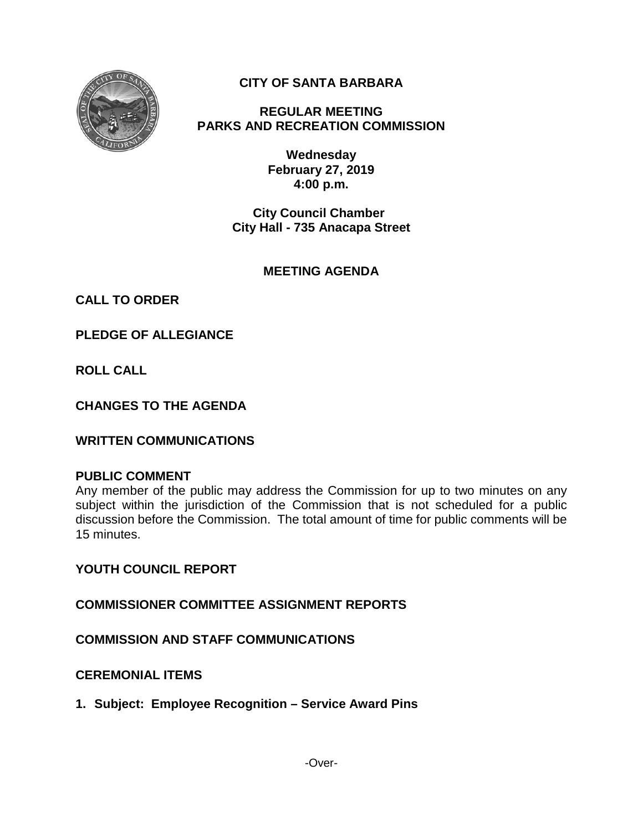

# **CITY OF SANTA BARBARA**

**REGULAR MEETING PARKS AND RECREATION COMMISSION**

> **Wednesday February 27, 2019 4:00 p.m.**

**City Council Chamber City Hall - 735 Anacapa Street**

# **MEETING AGENDA**

**CALL TO ORDER**

**PLEDGE OF ALLEGIANCE**

**ROLL CALL**

**CHANGES TO THE AGENDA**

**WRITTEN COMMUNICATIONS**

#### **PUBLIC COMMENT**

Any member of the public may address the Commission for up to two minutes on any subject within the jurisdiction of the Commission that is not scheduled for a public discussion before the Commission. The total amount of time for public comments will be 15 minutes.

**YOUTH COUNCIL REPORT**

**COMMISSIONER COMMITTEE ASSIGNMENT REPORTS**

**COMMISSION AND STAFF COMMUNICATIONS**

**CEREMONIAL ITEMS**

**1. Subject: Employee Recognition – Service Award Pins**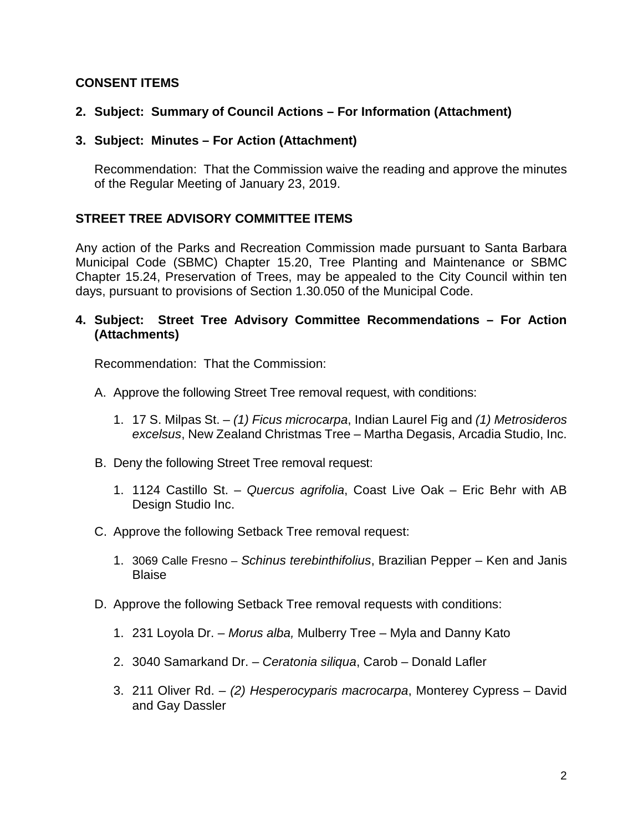### **CONSENT ITEMS**

## **2. Subject: Summary of Council Actions – For Information (Attachment)**

#### **3. Subject: Minutes – For Action (Attachment)**

Recommendation: That the Commission waive the reading and approve the minutes of the Regular Meeting of January 23, 2019.

### **STREET TREE ADVISORY COMMITTEE ITEMS**

Any action of the Parks and Recreation Commission made pursuant to Santa Barbara Municipal Code (SBMC) Chapter 15.20, Tree Planting and Maintenance or SBMC Chapter 15.24, Preservation of Trees, may be appealed to the City Council within ten days, pursuant to provisions of Section 1.30.050 of the Municipal Code.

### **4. Subject: Street Tree Advisory Committee Recommendations – For Action (Attachments)**

Recommendation: That the Commission:

- A. Approve the following Street Tree removal request, with conditions:
	- 1. 17 S. Milpas St. *(1) Ficus microcarpa*, Indian Laurel Fig and *(1) Metrosideros excelsus*, New Zealand Christmas Tree – Martha Degasis, Arcadia Studio, Inc.
- B. Deny the following Street Tree removal request:
	- 1. 1124 Castillo St. *Quercus agrifolia*, Coast Live Oak Eric Behr with AB Design Studio Inc.
- C. Approve the following Setback Tree removal request:
	- 1. 3069 Calle Fresno *Schinus terebinthifolius*, Brazilian Pepper Ken and Janis Blaise
- D. Approve the following Setback Tree removal requests with conditions:
	- 1. 231 Loyola Dr. *Morus alba,* Mulberry Tree Myla and Danny Kato
	- 2. 3040 Samarkand Dr. *Ceratonia siliqua*, Carob Donald Lafler
	- 3. 211 Oliver Rd. *(2) Hesperocyparis macrocarpa*, Monterey Cypress David and Gay Dassler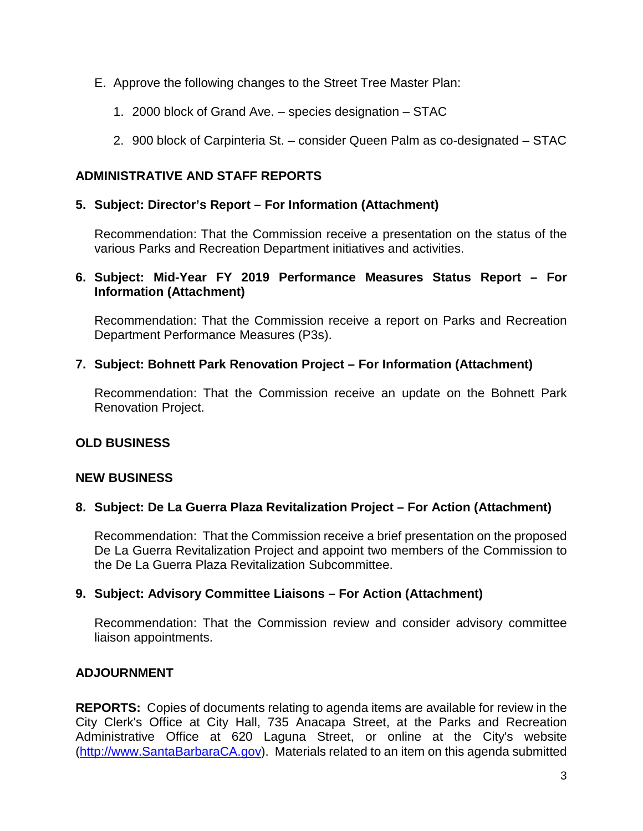- E. Approve the following changes to the Street Tree Master Plan:
	- 1. 2000 block of Grand Ave. species designation STAC
	- 2. 900 block of Carpinteria St. consider Queen Palm as co-designated STAC

### **ADMINISTRATIVE AND STAFF REPORTS**

#### **5. Subject: Director's Report – For Information (Attachment)**

Recommendation: That the Commission receive a presentation on the status of the various Parks and Recreation Department initiatives and activities.

#### **6. Subject: Mid-Year FY 2019 Performance Measures Status Report – For Information (Attachment)**

Recommendation: That the Commission receive a report on Parks and Recreation Department Performance Measures (P3s).

### **7. Subject: Bohnett Park Renovation Project – For Information (Attachment)**

Recommendation: That the Commission receive an update on the Bohnett Park Renovation Project.

# **OLD BUSINESS**

#### **NEW BUSINESS**

#### **8. Subject: De La Guerra Plaza Revitalization Project – For Action (Attachment)**

Recommendation: That the Commission receive a brief presentation on the proposed De La Guerra Revitalization Project and appoint two members of the Commission to the De La Guerra Plaza Revitalization Subcommittee.

#### **9. Subject: Advisory Committee Liaisons – For Action (Attachment)**

Recommendation: That the Commission review and consider advisory committee liaison appointments.

# **ADJOURNMENT**

**REPORTS:** Copies of documents relating to agenda items are available for review in the City Clerk's Office at City Hall, 735 Anacapa Street, at the Parks and Recreation Administrative Office at 620 Laguna Street, or online at the City's website [\(http://www.SantaBarbaraCA.gov\)](http://www.santabarbaraca.gov/). Materials related to an item on this agenda submitted